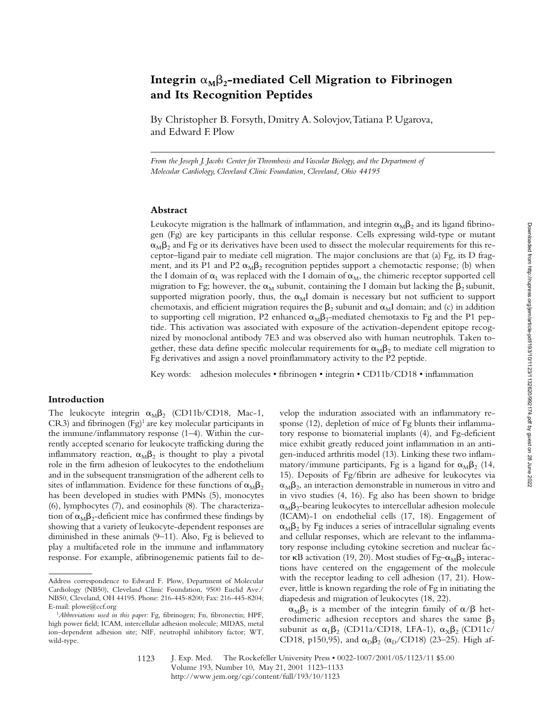# Integrin  $\alpha_M\beta_2$ -mediated Cell Migration to Fibrinogen **and Its Recognition Peptides**

By Christopher B. Forsyth, Dmitry A. Solovjov, Tatiana P. Ugarova, and Edward F. Plow

*From the Joseph J. Jacobs Center for Thrombosis and Vascular Biology, and the Department of Molecular Cardiology, Cleveland Clinic Foundation, Cleveland, Ohio 44195*

## **Abstract**

Leukocyte migration is the hallmark of inflammation, and integrin  $\alpha_{\text{M}}\beta_2$  and its ligand fibrinogen (Fg) are key participants in this cellular response. Cells expressing wild-type or mutant  $\alpha_M\beta_2$  and Fg or its derivatives have been used to dissect the molecular requirements for this receptor–ligand pair to mediate cell migration. The major conclusions are that (a) Fg, its D fragment, and its P1 and P2  $\alpha_M\beta_2$  recognition peptides support a chemotactic response; (b) when the I domain of  $\alpha_L$  was replaced with the I domain of  $\alpha_M$ , the chimeric receptor supported cell migration to Fg; however, the  $\alpha_M$  subunit, containing the I domain but lacking the  $\beta_2$  subunit, supported migration poorly, thus, the  $\alpha_M I$  domain is necessary but not sufficient to support chemotaxis, and efficient migration requires the  $\beta_2$  subunit and  $\alpha_M$ I domain; and (c) in addition to supporting cell migration, P2 enhanced  $\alpha_M\beta_2$ -mediated chemotaxis to Fg and the P1 peptide. This activation was associated with exposure of the activation-dependent epitope recognized by monoclonal antibody 7E3 and was observed also with human neutrophils. Taken together, these data define specific molecular requirements for  $\alpha_M\beta_2$  to mediate cell migration to Fg derivatives and assign a novel proinflammatory activity to the P2 peptide.

Key words: adhesion molecules • fibrinogen • integrin • CD11b/CD18 • inflammation

## **Introduction**

The leukocyte integrin  $\alpha_M\beta_2$  (CD11b/CD18, Mac-1, CR3) and fibrinogen (Fg)1 are key molecular participants in the immune/inflammatory response (1–4). Within the currently accepted scenario for leukocyte trafficking during the inflammatory reaction,  $\alpha_M \beta_2$  is thought to play a pivotal role in the firm adhesion of leukocytes to the endothelium and in the subsequent transmigration of the adherent cells to sites of inflammation. Evidence for these functions of  $\alpha_{\text{M}}\beta_{2}$ has been developed in studies with PMNs (5), monocytes (6), lymphocytes (7), and eosinophils (8). The characterization of  $\alpha_{\text{M}}\beta_2$ -deficient mice has confirmed these findings by showing that a variety of leukocyte-dependent responses are diminished in these animals (9–11). Also, Fg is believed to play a multifaceted role in the immune and inflammatory response. For example, afibrinogenemic patients fail to develop the induration associated with an inflammatory response (12), depletion of mice of Fg blunts their inflammatory response to biomaterial implants (4), and Fg-deficient mice exhibit greatly reduced joint inflammation in an antigen-induced arthritis model (13). Linking these two inflammatory/immune participants, Fg is a ligand for  $\alpha_{\text{M}}\beta_2$  (14, 15). Deposits of Fg/fibrin are adhesive for leukocytes via  $\alpha_{\text{M}}\beta_2$ , an interaction demonstrable in numerous in vitro and in vivo studies (4, 16). Fg also has been shown to bridge  $\alpha_{\rm M} \beta_2$ -bearing leukocytes to intercellular adhesion molecule (ICAM)-1 on endothelial cells (17, 18). Engagement of  $\alpha_M\beta_2$  by Fg induces a series of intracellular signaling events and cellular responses, which are relevant to the inflammatory response including cytokine secretion and nuclear factor  $\kappa$ B activation (19, 20). Most studies of Fg– $\alpha_{\text{M}}\beta_2$  interactions have centered on the engagement of the molecule with the receptor leading to cell adhesion (17, 21). However, little is known regarding the role of Fg in initiating the diapedesis and migration of leukocytes (18, 22).

 $\alpha_{\text{M}}\beta_2$  is a member of the integrin family of  $\alpha/\beta$  heterodimeric adhesion receptors and shares the same  $\beta_2$ subunit as  $\alpha_L \beta_2$  (CD11a/CD18, LFA-1),  $\alpha_X \beta_2$  (CD11c/ CD18, p150,95), and  $\alpha_{D}\beta_{2}$  ( $\alpha_{D}/CD18$ ) (23–25). High af-

Address correspondence to Edward F. Plow, Department of Molecular Cardiology (NB50), Cleveland Clinic Foundation, 9500 Euclid Ave./ NB50, Cleveland, OH 44195. Phone: 216-445-8200; Fax: 216-445-8204; E-mail: plowe@ccf.org

<sup>1</sup>*Abbreviations used in this paper:* Fg, fibrinogen; Fn, fibronectin; HPF, high power field; ICAM, intercellular adhesion molecule; MIDAS, metal ion–dependent adhesion site; NIF, neutrophil inhibitory factor; WT, wild-type.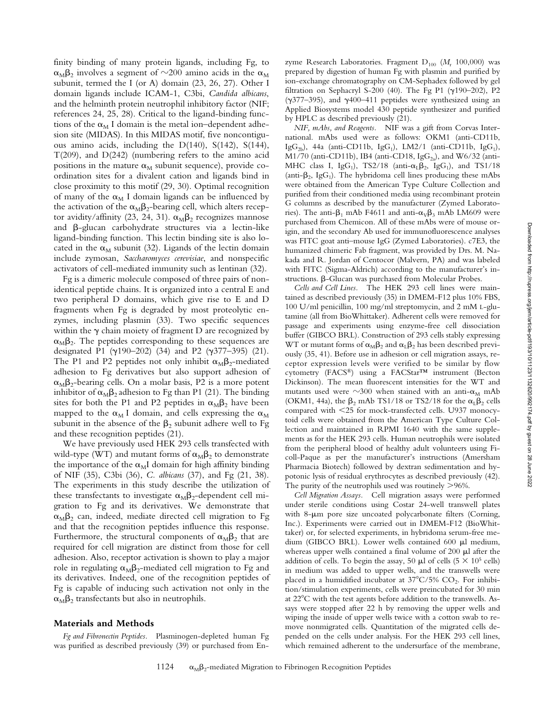finity binding of many protein ligands, including Fg, to  $\alpha_{\rm M} \beta_2$  involves a segment of  $\sim$ 200 amino acids in the  $\alpha_{\rm M}$ subunit, termed the I (or A) domain (23, 26, 27). Other I domain ligands include ICAM-1, C3bi, *Candida albicans*, and the helminth protein neutrophil inhibitory factor (NIF; references 24, 25, 28). Critical to the ligand-binding functions of the  $\alpha_M$  I domain is the metal ion–dependent adhesion site (MIDAS). In this MIDAS motif, five noncontiguous amino acids, including the D(140), S(142), S(144), T(209), and D(242) (numbering refers to the amino acid positions in the mature  $\alpha_M$  subunit sequence), provide coordination sites for a divalent cation and ligands bind in close proximity to this motif (29, 30). Optimal recognition of many of the  $\alpha_M$  I domain ligands can be influenced by the activation of the  $\alpha_M\beta_2$ -bearing cell, which alters receptor avidity/affinity (23, 24, 31).  $\alpha_{\text{M}}\beta_2$  recognizes mannose and b-glucan carbohydrate structures via a lectin-like ligand-binding function. This lectin binding site is also located in the  $\alpha_M$  subunit (32). Ligands of the lectin domain include zymosan, *Saccharomyces cerevisiae*, and nonspecific activators of cell-mediated immunity such as lentinan (32).

Fg is a dimeric molecule composed of three pairs of nonidentical peptide chains. It is organized into a central E and two peripheral D domains, which give rise to E and D fragments when Fg is degraded by most proteolytic enzymes, including plasmin (33). Two specific sequences within the  $\gamma$  chain moiety of fragment D are recognized by  $\alpha_{\text{M}}\beta_2$ . The peptides corresponding to these sequences are designated P1 ( $\gamma$ 190–202) (34) and P2 ( $\gamma$ 377–395) (21). The P1 and P2 peptides not only inhibit  $\alpha_{\text{M}}\beta_{2}$ -mediated adhesion to Fg derivatives but also support adhesion of  $\alpha_{\text{M}}\beta_2$ -bearing cells. On a molar basis, P2 is a more potent inhibitor of  $\alpha_{\text{M}}\beta_2$  adhesion to Fg than P1 (21). The binding sites for both the P1 and P2 peptides in  $\alpha_{\text{M}}\beta_2$  have been mapped to the  $\alpha_M$  I domain, and cells expressing the  $\alpha_M$ subunit in the absence of the  $\beta_2$  subunit adhere well to Fg and these recognition peptides (21).

We have previously used HEK 293 cells transfected with wild-type (WT) and mutant forms of  $\alpha_M\beta_2$  to demonstrate the importance of the  $\alpha_M I$  domain for high affinity binding of NIF (35), C3bi (36), *C. albicans* (37), and Fg (21, 38). The experiments in this study describe the utilization of these transfectants to investigate  $\alpha_M\beta_2$ -dependent cell migration to Fg and its derivatives. We demonstrate that  $\alpha_M\beta_2$  can, indeed, mediate directed cell migration to Fg and that the recognition peptides influence this response. Furthermore, the structural components of  $\alpha_M\beta_2$  that are required for cell migration are distinct from those for cell adhesion. Also, receptor activation is shown to play a major role in regulating  $\alpha_{\text{M}}\beta_2$ -mediated cell migration to Fg and its derivatives. Indeed, one of the recognition peptides of Fg is capable of inducing such activation not only in the  $\alpha_{\rm M} \beta_2$  transfectants but also in neutrophils.

#### **Materials and Methods**

*Fg and Fibronectin Peptides.* Plasminogen-depleted human Fg was purified as described previously (39) or purchased from Enzyme Research Laboratories. Fragment D<sub>100</sub> (M<sub>r</sub> 100,000) was prepared by digestion of human Fg with plasmin and purified by ion-exchange chromatography on CM-Sephadex followed by gel filtration on Sephacryl S-200 (40). The Fg P1 ( $\gamma$ 190–202), P2 ( $\gamma$ 377–395), and  $\gamma$ 400–411 peptides were synthesized using an Applied Biosystems model 430 peptide synthesizer and purified by HPLC as described previously (21).

*NIF, mAbs, and Reagents.* NIF was a gift from Corvas International. mAbs used were as follows: OKM1 (anti-CD11b, Ig $G_{2b}$ ), 44a (anti-CD11b, Ig $G_1$ ), LM2/1 (anti-CD11b, Ig $G_1$ ),  $\text{M1/70}$  (anti-CD11b), IB4 (anti-CD18, Ig $\text{G}_{2a}$ ), and W6/32 (anti-MHC class I, IgG<sub>1</sub>), TS2/18 (anti- $\alpha$ <sub>L</sub> $\beta$ <sub>2</sub>, IgG<sub>1</sub>), and TS1/18 (anti- $\beta_2$ , IgG<sub>1</sub>). The hybridoma cell lines producing these mAbs were obtained from the American Type Culture Collection and purified from their conditioned media using recombinant protein G columns as described by the manufacturer (Zymed Laboratories). The anti- $\beta_1$  mAb F4611 and anti- $\alpha_V\beta_3$  mAb LM609 were purchased from Chemicon. All of these mAbs were of mouse origin, and the secondary Ab used for immunofluorescence analyses was FITC goat anti–mouse IgG (Zymed Laboratories). c7E3, the humanized chimeric Fab fragment, was provided by Drs. M. Nakada and R. Jordan of Centocor (Malvern, PA) and was labeled with FITC (Sigma-Aldrich) according to the manufacturer's instructions.  $\beta$ -Glucan was purchased from Molecular Probes.

*Cells and Cell Lines.* The HEK 293 cell lines were maintained as described previously (35) in DMEM-F12 plus 10% FBS, 100 U/ml penicillin, 100 mg/ml streptomycin, and 2 mM L-glutamine (all from BioWhittaker). Adherent cells were removed for passage and experiments using enzyme-free cell dissociation buffer (GIBCO BRL). Construction of 293 cells stably expressing WT or mutant forms of  $\alpha_M\beta_2$  and  $\alpha_L\beta_2$  has been described previously (35, 41). Before use in adhesion or cell migration assays, receptor expression levels were verified to be similar by flow cytometry (FACS®) using a FACStar™ instrument (Becton Dickinson). The mean fluorescent intensities for the WT and mutants used were  $\sim$ 300 when stained with an anti- $\alpha_M$  mAb (OKM1, 44a), the  $\beta_2$  mAb TS1/18 or TS2/18 for the  $\alpha_L\beta_2$  cells compared with  $<$  25 for mock-transfected cells. U937 monocytoid cells were obtained from the American Type Culture Collection and maintained in RPMI 1640 with the same supplements as for the HEK 293 cells. Human neutrophils were isolated from the peripheral blood of healthy adult volunteers using Ficoll-Paque as per the manufacturer's instructions (Amersham Pharmacia Biotech) followed by dextran sedimentation and hypotonic lysis of residual erythrocytes as described previously (42). The purity of the neutrophils used was routinely  $>96\%$ .

*Cell Migration Assays.* Cell migration assays were performed under sterile conditions using Costar 24-well transwell plates with 8-um pore size uncoated polycarbonate filters (Corning, Inc.). Experiments were carried out in DMEM-F12 (BioWhittaker) or, for selected experiments, in hybridoma serum-free medium (GIBCO BRL). Lower wells contained 600 µl medium, whereas upper wells contained a final volume of  $200 \mu l$  after the addition of cells. To begin the assay, 50  $\mu$ l of cells (5  $\times$  10<sup>5</sup> cells) in medium was added to upper wells, and the transwells were placed in a humidified incubator at  $37^{\circ}$ C/5% CO<sub>2</sub>. For inhibition/stimulation experiments, cells were preincubated for 30 min at  $22^{\circ}$ C with the test agents before addition to the transwells. Assays were stopped after 22 h by removing the upper wells and wiping the inside of upper wells twice with a cotton swab to remove nonmigrated cells. Quantitation of the migrated cells depended on the cells under analysis. For the HEK 293 cell lines, which remained adherent to the undersurface of the membrane,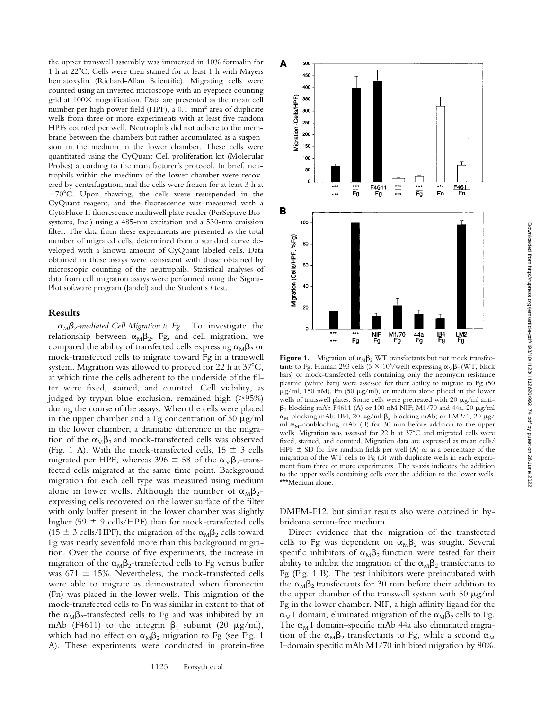the upper transwell assembly was immersed in 10% formalin for 1 h at 22°C. Cells were then stained for at least 1 h with Mayers hematoxylin (Richard-Allan Scientific). Migrating cells were counted using an inverted microscope with an eyepiece counting grid at  $100\times$  magnification. Data are presented as the mean cell number per high power field (HPF), a 0.1-mm2 area of duplicate wells from three or more experiments with at least five random HPFs counted per well. Neutrophils did not adhere to the membrane between the chambers but rather accumulated as a suspension in the medium in the lower chamber. These cells were quantitated using the CyQuant Cell proliferation kit (Molecular Probes) according to the manufacturer's protocol. In brief, neutrophils within the medium of the lower chamber were recovered by centrifugation, and the cells were frozen for at least 3 h at  $-70^{\circ}$ C. Upon thawing, the cells were resuspended in the CyQuant reagent, and the fluorescence was measured with a CytoFluor II fluorescence multiwell plate reader (PerSeptive Biosystems, Inc.) using a 485-nm excitation and a 530-nm emission filter. The data from these experiments are presented as the total number of migrated cells, determined from a standard curve developed with a known amount of CyQuant-labeled cells. Data obtained in these assays were consistent with those obtained by microscopic counting of the neutrophils. Statistical analyses of data from cell migration assays were performed using the Sigma-Plot software program (Jandel) and the Student's *t* test.

## **Results**

 $\alpha_M \beta_2$ -mediated Cell Migration to Fg. To investigate the relationship between  $\alpha_{\text{M}}\beta_2$ , Fg, and cell migration, we compared the ability of transfected cells expressing  $\alpha_{\text{M}}\beta_2$  or mock-transfected cells to migrate toward Fg in a transwell system. Migration was allowed to proceed for  $22$  h at  $37^{\circ}$ C, at which time the cells adherent to the underside of the filter were fixed, stained, and counted. Cell viability, as judged by trypan blue exclusion, remained high  $(>95%)$ during the course of the assays. When the cells were placed in the upper chamber and a Fg concentration of 50  $\mu$ g/ml in the lower chamber, a dramatic difference in the migration of the  $\alpha_{\text{M}}\beta_2$  and mock-transfected cells was observed (Fig. 1 A). With the mock-transfected cells,  $15 \pm 3$  cells migrated per HPF, whereas 396  $\pm$  58 of the  $\alpha_{\text{M}}\beta_{2}$ -transfected cells migrated at the same time point. Background migration for each cell type was measured using medium alone in lower wells. Although the number of  $\alpha_{\text{M}}\beta_{2}$ expressing cells recovered on the lower surface of the filter with only buffer present in the lower chamber was slightly higher (59  $\pm$  9 cells/HPF) than for mock-transfected cells (15  $\pm$  3 cells/HPF), the migration of the  $\alpha_{\text{M}}\beta_2$  cells toward Fg was nearly sevenfold more than this background migration. Over the course of five experiments, the increase in migration of the  $\alpha_M\beta_2$ -transfected cells to Fg versus buffer was 671  $\pm$  15%. Nevertheless, the mock-transfected cells were able to migrate as demonstrated when fibronectin (Fn) was placed in the lower wells. This migration of the mock-transfected cells to Fn was similar in extent to that of the  $\alpha_{\text{M}}\beta_2$ -transfected cells to Fg and was inhibited by an mAb (F4611) to the integrin  $\beta_1$  subunit (20  $\mu$ g/ml), which had no effect on  $\alpha_M\beta_2$  migration to Fg (see Fig. 1 A). These experiments were conducted in protein-free



A

500 450 400

tants to Fg. Human 293 cells (5  $\times$  10<sup>5</sup>/well) expressing  $\alpha_{\text{M}}\beta_2$  (WT, black bars) or mock-transfected cells containing only the neomycin resistance plasmid (white bars) were assessed for their ability to migrate to Fg (50  $\mu$ g/ml, 150 nM), Fn (50  $\mu$ g/ml), or medium alone placed in the lower wells of transwell plates. Some cells were pretreated with 20  $\mu$ g/ml anti- $\beta_1$  blocking mAb F4611 (A) or 100 nM NIF; M1/70 and 44a, 20  $\mu$ g/ml  $\alpha_M$ -blocking mAb; IB4, 20  $\mu$ g/ml  $\beta_2$ -blocking mAb; or LM2/1, 20  $\mu$ g/ ml  $\alpha_M$ -nonblocking mAb (B) for 30 min before addition to the upper wells. Migration was assessed for 22 h at 37°C and migrated cells were fixed, stained, and counted. Migration data are expressed as mean cells/ HPF  $\pm$  SD for five random fields per well (A) or as a percentage of the migration of the WT cells to Fg (B) with duplicate wells in each experiment from three or more experiments. The x-axis indicates the addition to the upper wells containing cells over the addition to the lower wells. \*\*\*Medium alone.

DMEM-F12, but similar results also were obtained in hybridoma serum-free medium.

Direct evidence that the migration of the transfected cells to Fg was dependent on  $\alpha_M\beta_2$  was sought. Several specific inhibitors of  $\alpha_{\text{M}}\beta_2$  function were tested for their ability to inhibit the migration of the  $\alpha_{\text{M}}\beta_2$  transfectants to Fg (Fig. 1 B). The test inhibitors were preincubated with the  $\alpha_{\rm M}\beta_2$  transfectants for 30 min before their addition to the upper chamber of the transwell system with 50  $\mu$ g/ml Fg in the lower chamber. NIF, a high affinity ligand for the  $\alpha_M$ I domain, eliminated migration of the  $\alpha_M\beta_2$  cells to Fg. The  $\alpha_M$ I domain–specific mAb 44a also eliminated migration of the  $\alpha_{\text{M}}\beta_2$  transfectants to Fg, while a second  $\alpha_{\text{M}}$ I–domain specific mAb M1/70 inhibited migration by 80%.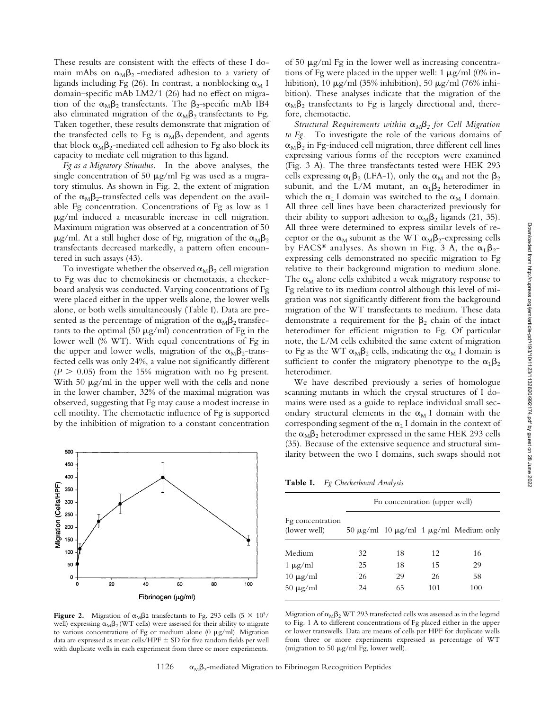These results are consistent with the effects of these I domain mAbs on  $\alpha_M\beta_2$ -mediated adhesion to a variety of ligands including Fg (26). In contrast, a nonblocking  $\alpha_M$  I domain–specific mAb LM2/1 (26) had no effect on migration of the  $\alpha_{M}\beta_2$  transfectants. The  $\beta_2$ -specific mAb IB4 also eliminated migration of the  $\alpha_M\beta_2$  transfectants to Fg. Taken together, these results demonstrate that migration of the transfected cells to Fg is  $\alpha_M\beta_2$  dependent, and agents that block  $\alpha_{\text{M}}\beta_2$ -mediated cell adhesion to Fg also block its capacity to mediate cell migration to this ligand.

*Fg as a Migratory Stimulus.* In the above analyses, the single concentration of 50  $\mu$ g/ml Fg was used as a migratory stimulus. As shown in Fig. 2, the extent of migration of the  $\alpha_{\text{M}}\beta_2$ -transfected cells was dependent on the available Fg concentration. Concentrations of Fg as low as 1  $\mu$ g/ml induced a measurable increase in cell migration. Maximum migration was observed at a concentration of 50  $\mu$ g/ml. At a still higher dose of Fg, migration of the  $\alpha_M\beta_2$ transfectants decreased markedly, a pattern often encountered in such assays (43).

To investigate whether the observed  $\alpha_M\beta_2$  cell migration to Fg was due to chemokinesis or chemotaxis, a checkerboard analysis was conducted. Varying concentrations of Fg were placed either in the upper wells alone, the lower wells alone, or both wells simultaneously (Table I). Data are presented as the percentage of migration of the  $\alpha_M\beta_2$  transfectants to the optimal  $(50 \mu g/ml)$  concentration of Fg in the lower well (% WT). With equal concentrations of Fg in the upper and lower wells, migration of the  $\alpha_{\text{M}}\beta_2$ -transfected cells was only 24%, a value not significantly different  $(P > 0.05)$  from the 15% migration with no Fg present. With 50  $\mu$ g/ml in the upper well with the cells and none in the lower chamber, 32% of the maximal migration was observed, suggesting that Fg may cause a modest increase in cell motility. The chemotactic influence of Fg is supported by the inhibition of migration to a constant concentration



**Figure 2.** Migration of  $\alpha_M\beta$ 2 transfectants to Fg. 293 cells (5  $\times$  10<sup>5</sup>/ well) expressing  $\alpha_M\beta_2$  (WT cells) were assessed for their ability to migrate to various concentrations of Fg or medium alone (0  $\mu$ g/ml). Migration data are expressed as mean cells/HPF  $\pm$  SD for five random fields per well with duplicate wells in each experiment from three or more experiments.

of 50  $\mu$ g/ml Fg in the lower well as increasing concentrations of Fg were placed in the upper well: 1  $\mu$ g/ml (0% inhibition), 10  $\mu$ g/ml (35% inhibition), 50  $\mu$ g/ml (76% inhibition). These analyses indicate that the migration of the  $\alpha_{\text{M}}\beta_2$  transfectants to Fg is largely directional and, therefore, chemotactic.

*Structural Requirements within*  $\alpha_M\beta_2$  for Cell Migration *to Fg.* To investigate the role of the various domains of  $\alpha_{\rm M}\beta_2$  in Fg-induced cell migration, three different cell lines expressing various forms of the receptors were examined (Fig. 3 A). The three transfectants tested were HEK 293 cells expressing  $\alpha_L\beta_2$  (LFA-1), only the  $\alpha_M$  and not the  $\beta_2$ subunit, and the L/M mutant, an  $\alpha_L\beta_2$  heterodimer in which the  $\alpha_L$  I domain was switched to the  $\alpha_M$  I domain. All three cell lines have been characterized previously for their ability to support adhesion to  $\alpha_{\text{M}}\beta_2$  ligands (21, 35). All three were determined to express similar levels of receptor or the  $\alpha_M$  subunit as the WT  $\alpha_M\beta_2$ -expressing cells by FACS<sup>®</sup> analyses. As shown in Fig. 3 A, the  $\alpha_L\beta_2$ expressing cells demonstrated no specific migration to Fg relative to their background migration to medium alone. The  $\alpha_M$  alone cells exhibited a weak migratory response to Fg relative to its medium control although this level of migration was not significantly different from the background migration of the WT transfectants to medium. These data demonstrate a requirement for the  $\beta_2$  chain of the intact heterodimer for efficient migration to Fg. Of particular note, the L/M cells exhibited the same extent of migration to Fg as the WT  $\alpha_M\beta_2$  cells, indicating the  $\alpha_M$  I domain is sufficient to confer the migratory phenotype to the  $\alpha_{\text{L}}\beta_2$ heterodimer.

We have described previously a series of homologue scanning mutants in which the crystal structures of I domains were used as a guide to replace individual small secondary structural elements in the  $\alpha_M$  I domain with the corresponding segment of the  $\alpha_L$  I domain in the context of the  $\alpha_{\text{M}}\beta_2$  heterodimer expressed in the same HEK 293 cells (35). Because of the extensive sequence and structural similarity between the two I domains, such swaps should not

**Table I.** *Fg Checkerboard Analysis*

|                                  | Fn concentration (upper well) |    |     |                                                      |
|----------------------------------|-------------------------------|----|-----|------------------------------------------------------|
| Fg concentration<br>(lower well) |                               |    |     | 50 $\mu$ g/ml 10 $\mu$ g/ml 1 $\mu$ g/ml Medium only |
| Medium                           | 32                            | 18 | 12  | 16                                                   |
| $1 \mu g/ml$                     | 25                            | 18 | 15  | 29                                                   |
| $10 \mu g/ml$                    | 26                            | 29 | 26  | 58                                                   |
| $50 \mu g/ml$                    | 24                            | 65 | 101 | 100                                                  |
|                                  |                               |    |     |                                                      |

Migration of  $\alpha_M\beta_2$  WT 293 transfected cells was assessed as in the legend to Fig. 1 A to different concentrations of Fg placed either in the upper or lower transwells. Data are means of cells per HPF for duplicate wells from three or more experiments expressed as percentage of WT (migration to 50  $\mu$ g/ml Fg, lower well).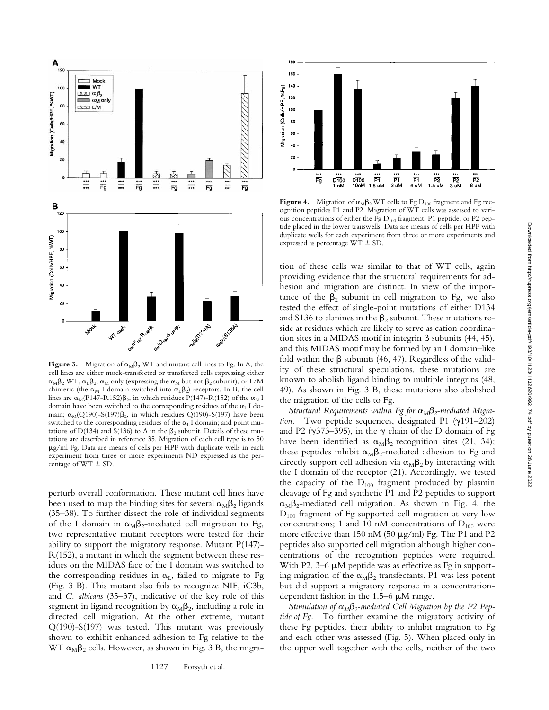

**Figure 3.** Migration of  $\alpha_M \beta_2$  WT and mutant cell lines to Fg. In A, the cell lines are either mock-transfected or transfected cells expressing either  $\alpha_{\rm M}\beta_2$  WT,  $\alpha_{\rm L}\beta_2$ ,  $\alpha_{\rm M}$  only (expressing the  $\alpha_{\rm M}$  but not  $\beta_2$  subunit), or L/M chimeric (the  $\alpha_M$  I domain switched into  $\alpha_L\beta_2$ ) receptors. In B, the cell lines are  $\alpha_M$ (P147-R152) $\beta_2$ , in which residues P(147)-R(152) of the  $\alpha_M$  I domain have been switched to the corresponding residues of the  $\alpha_L I$  domain;  $\alpha_M(Q190)$ -S(197) $\beta_2$ , in which residues Q(190)-S(197) have been switched to the corresponding residues of the  $\alpha_L$  I domain; and point mutations of D(134) and S(136) to A in the  $\beta_2$  subunit. Details of these mutations are described in reference 35. Migration of each cell type is to 50 mg/ml Fg. Data are means of cells per HPF with duplicate wells in each experiment from three or more experiments ND expressed as the percentage of  $WT \pm SD$ .

perturb overall conformation. These mutant cell lines have been used to map the binding sites for several  $\alpha_{\text{M}}\beta_2$  ligands (35–38). To further dissect the role of individual segments of the I domain in  $\alpha_M\beta_2$ -mediated cell migration to Fg, two representative mutant receptors were tested for their ability to support the migratory response. Mutant P(147)- R(152), a mutant in which the segment between these residues on the MIDAS face of the I domain was switched to the corresponding residues in  $\alpha_L$ , failed to migrate to Fg (Fig. 3 B). This mutant also fails to recognize NIF, iC3b, and *C. albicans* (35–37), indicative of the key role of this segment in ligand recognition by  $\alpha_{\text{M}}\beta_2$ , including a role in directed cell migration. At the other extreme, mutant Q(190)-S(197) was tested. This mutant was previously shown to exhibit enhanced adhesion to Fg relative to the WT  $\alpha_{\text{M}}\beta_2$  cells. However, as shown in Fig. 3 B, the migra-



**Figure 4.** Migration of  $\alpha_M \beta_2 W T$  cells to Fg  $D_{100}$  fragment and Fg recognition peptides P1 and P2. Migration of WT cells was assessed to various concentrations of either the Fg  $D_{100}$  fragment, P1 peptide, or P2 peptide placed in the lower transwells. Data are means of cells per HPF with duplicate wells for each experiment from three or more experiments and expressed as percentage  $WT \pm SD$ .

tion of these cells was similar to that of WT cells, again providing evidence that the structural requirements for adhesion and migration are distinct. In view of the importance of the  $\beta_2$  subunit in cell migration to Fg, we also tested the effect of single-point mutations of either D134 and S136 to alanines in the  $\beta_2$  subunit. These mutations reside at residues which are likely to serve as cation coordination sites in a MIDAS motif in integrin  $\beta$  subunits (44, 45), and this MIDAS motif may be formed by an I domain–like fold within the  $\beta$  subunits (46, 47). Regardless of the validity of these structural speculations, these mutations are known to abolish ligand binding to multiple integrins (48, 49). As shown in Fig. 3 B, these mutations also abolished the migration of the cells to Fg.

*Structural Requirements within Fg for*  $\alpha_{M} \beta_{2}$ -mediated Migra*tion*. Two peptide sequences, designated P1  $(\gamma191-202)$ and P2 ( $\gamma$ 373–395), in the  $\gamma$  chain of the D domain of Fg have been identified as  $\alpha_{\text{M}}\beta_2$  recognition sites (21, 34); these peptides inhibit  $\alpha_{\text{M}}\beta_2$ -mediated adhesion to Fg and directly support cell adhesion via  $\alpha_M\beta_2$  by interacting with the I domain of the receptor (21). Accordingly, we tested the capacity of the  $D_{100}$  fragment produced by plasmin cleavage of Fg and synthetic P1 and P2 peptides to support  $\alpha_{\text{M}}\beta_2$ -mediated cell migration. As shown in Fig. 4, the  $D_{100}$  fragment of Fg supported cell migration at very low concentrations; 1 and 10 nM concentrations of  $D_{100}$  were more effective than 150 nM (50  $\mu$ g/ml) Fg. The P1 and P2 peptides also supported cell migration although higher concentrations of the recognition peptides were required. With P2,  $3-6 \mu M$  peptide was as effective as Fg in supporting migration of the  $\alpha_M\beta_2$  transfectants. P1 was less potent but did support a migratory response in a concentrationdependent fashion in the  $1.5-6 \mu M$  range.

*Stimulation of*  $\alpha_M \beta_2$ -mediated Cell Migration by the P2 Pep*tide of Fg.* To further examine the migratory activity of these Fg peptides, their ability to inhibit migration to Fg and each other was assessed (Fig. 5). When placed only in the upper well together with the cells, neither of the two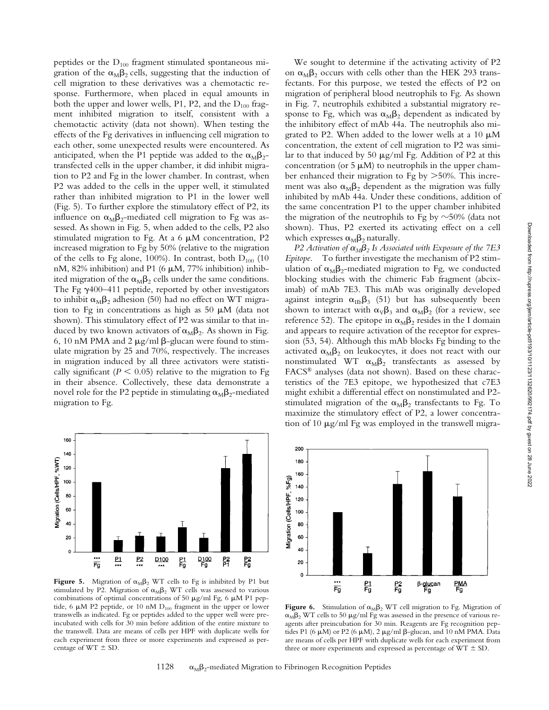peptides or the  $D_{100}$  fragment stimulated spontaneous migration of the  $\alpha_{\text{M}}\beta_2$  cells, suggesting that the induction of cell migration to these derivatives was a chemotactic response. Furthermore, when placed in equal amounts in both the upper and lower wells, P1, P2, and the  $D_{100}$  fragment inhibited migration to itself, consistent with a chemotactic activity (data not shown). When testing the effects of the Fg derivatives in influencing cell migration to each other, some unexpected results were encountered. As anticipated, when the P1 peptide was added to the  $\alpha_{\text{M}}\beta_{2}$ transfected cells in the upper chamber, it did inhibit migration to P2 and Fg in the lower chamber. In contrast, when P2 was added to the cells in the upper well, it stimulated rather than inhibited migration to P1 in the lower well (Fig. 5). To further explore the stimulatory effect of P2, its influence on  $\alpha_{\text{M}}\beta_2$ -mediated cell migration to Fg was assessed. As shown in Fig. 5, when added to the cells, P2 also stimulated migration to Fg. At a  $6 \mu$ M concentration, P2 increased migration to Fg by 50% (relative to the migration of the cells to Fg alone, 100%). In contrast, both  $D_{100}$  (10 nM, 82% inhibition) and P1 (6  $\mu$ M, 77% inhibition) inhibited migration of the  $\alpha_M\beta_2$  cells under the same conditions. The Fg  $\gamma$ 400–411 peptide, reported by other investigators to inhibit  $\alpha_{\text{M}}\beta_2$  adhesion (50) had no effect on WT migration to Fg in concentrations as high as 50  $\mu$ M (data not shown). This stimulatory effect of P2 was similar to that induced by two known activators of  $\alpha_{\text{M}}\beta_2$ . As shown in Fig. 6, 10 nM PMA and 2  $\mu$ g/ml  $\beta$ -glucan were found to stimulate migration by 25 and 70%, respectively. The increases in migration induced by all three activators were statistically significant ( $P \le 0.05$ ) relative to the migration to Fg in their absence. Collectively, these data demonstrate a novel role for the P2 peptide in stimulating  $\alpha_{\text{M}}\beta_{2}$ -mediated migration to Fg.



Figure 5. Migration of  $\alpha_M \beta_2$  WT cells to Fg is inhibited by P1 but stimulated by P2. Migration of  $\alpha_M\beta_2$  WT cells was assessed to various combinations of optimal concentrations of 50  $\mu$ g/ml Fg, 6  $\mu$ M P1 peptide, 6  $\mu$ M P2 peptide, or 10 nM  $D_{100}$  fragment in the upper or lower transwells as indicated. Fg or peptides added to the upper well were preincubated with cells for 30 min before addition of the entire mixture to the transwell. Data are means of cells per HPF with duplicate wells for each experiment from three or more experiments and expressed as percentage of  $WT \pm SD$ .

We sought to determine if the activating activity of P2 on  $\alpha_{\text{M}}\beta_2$  occurs with cells other than the HEK 293 transfectants. For this purpose, we tested the effects of P2 on migration of peripheral blood neutrophils to Fg. As shown in Fig. 7, neutrophils exhibited a substantial migratory response to Fg, which was  $\alpha_{\text{M}}\beta_2$  dependent as indicated by the inhibitory effect of mAb 44a. The neutrophils also migrated to P2. When added to the lower wells at a 10  $\mu$ M concentration, the extent of cell migration to P2 was similar to that induced by 50  $\mu$ g/ml Fg. Addition of P2 at this concentration (or 5  $\mu$ M) to neutrophils in the upper chamber enhanced their migration to Fg by  $>50\%$ . This increment was also  $\alpha_{\text{M}}\beta_2$  dependent as the migration was fully inhibited by mAb 44a. Under these conditions, addition of the same concentration P1 to the upper chamber inhibited the migration of the neutrophils to Fg by  $\sim$ 50% (data not shown). Thus, P2 exerted its activating effect on a cell which expresses  $\alpha_{\text{M}}\beta_2$  naturally.

*P2 Activation of*  $\alpha_M\beta_2$  *Is Associated with Exposure of the 7E3 Epitope.* To further investigate the mechanism of P2 stimulation of  $\alpha_{\text{M}}\beta_2$ -mediated migration to Fg, we conducted blocking studies with the chimeric Fab fragment (abciximab) of mAb 7E3. This mAb was originally developed against integrin  $\alpha_{\text{IIb}}\beta_3$  (51) but has subsequently been shown to interact with  $\alpha_V\beta_3$  and  $\alpha_M\beta_2$  (for a review, see reference 52). The epitope in  $\alpha_M\beta_2$  resides in the I domain and appears to require activation of the receptor for expression (53, 54). Although this mAb blocks Fg binding to the activated  $\alpha_{\text{M}}\beta_2$  on leukocytes, it does not react with our nonstimulated WT  $\alpha_M\beta_2$  transfectants as assessed by FACS® analyses (data not shown). Based on these characteristics of the 7E3 epitope, we hypothesized that c7E3 might exhibit a differential effect on nonstimulated and P2 stimulated migration of the  $\alpha_{\text{M}}\beta_2$  transfectants to Fg. To maximize the stimulatory effect of P2, a lower concentration of 10  $\mu$ g/ml Fg was employed in the transwell migra-



**Figure 6.** Stimulation of  $\alpha_M \beta_2$  WT cell migration to Fg. Migration of  $\alpha_M\beta_2$  WT cells to 50  $\mu$ g/ml Fg was assessed in the presence of various reagents after preincubation for 30 min. Reagents are Fg recognition peptides P1 (6  $\mu$ M) or P2 (6  $\mu$ M), 2  $\mu$ g/ml  $\beta$ -glucan, and 10 nM PMA. Data are means of cells per HPF with duplicate wells for each experiment from three or more experiments and expressed as percentage of  $WT \pm SD$ .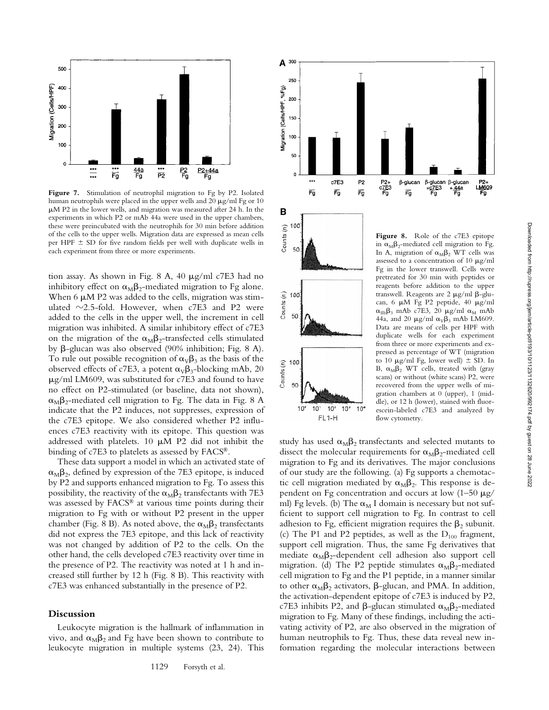



Figure 7. Stimulation of neutrophil migration to Fg by P2. Isolated human neutrophils were placed in the upper wells and 20  $\mu$ g/ml Fg or 10  $\mu$ M P2 in the lower wells, and migration was measured after 24 h. In the experiments in which P2 or mAb 44a were used in the upper chambers, these were preincubated with the neutrophils for 30 min before addition of the cells to the upper wells. Migration data are expressed as mean cells per HPF  $\pm$  SD for five random fields per well with duplicate wells in each experiment from three or more experiments.

tion assay. As shown in Fig. 8 A, 40  $\mu$ g/ml c7E3 had no inhibitory effect on  $\alpha_M\beta_2$ -mediated migration to Fg alone. When 6  $\mu$ M P2 was added to the cells, migration was stimulated  $\sim$ 2.5-fold. However, when c7E3 and P2 were added to the cells in the upper well, the increment in cell migration was inhibited. A similar inhibitory effect of c7E3 on the migration of the  $\alpha_M\beta_2$ -transfected cells stimulated by  $\beta$ -glucan was also observed (90% inhibition; Fig. 8 A). To rule out possible recognition of  $\alpha_V\beta_3$  as the basis of the observed effects of c7E3, a potent  $\alpha_{\rm V}\beta_3$ -blocking mAb, 20  $\mu$ g/ml LM609, was substituted for c7E3 and found to have no effect on P2-stimulated (or baseline, data not shown),  $\alpha_{\text{M}}\beta_2$ -mediated cell migration to Fg. The data in Fig. 8 A indicate that the P2 induces, not suppresses, expression of the c7E3 epitope. We also considered whether P2 influences c7E3 reactivity with its epitope. This question was addressed with platelets.  $10 \mu M$  P2 did not inhibit the binding of c7E3 to platelets as assessed by FACS®.

These data support a model in which an activated state of  $\alpha_{\text{M}}\beta_2$ , defined by expression of the 7E3 epitope, is induced by P2 and supports enhanced migration to Fg. To assess this possibility, the reactivity of the  $\alpha_M\beta_2$  transfectants with 7E3 was assessed by FACS® at various time points during their migration to Fg with or without P2 present in the upper chamber (Fig. 8 B). As noted above, the  $\alpha_{\text{M}}\beta_2$  transfectants did not express the 7E3 epitope, and this lack of reactivity was not changed by addition of P2 to the cells. On the other hand, the cells developed c7E3 reactivity over time in the presence of P2. The reactivity was noted at 1 h and increased still further by 12 h (Fig. 8 B). This reactivity with c7E3 was enhanced substantially in the presence of P2.

#### **Discussion**

Leukocyte migration is the hallmark of inflammation in vivo, and  $\alpha_M\beta_2$  and Fg have been shown to contribute to leukocyte migration in multiple systems (23, 24). This





B

100

in  $\alpha_{\text{M}}\beta_2$ -mediated cell migration to Fg. In A, migration of  $\alpha_M\beta_2$  WT cells was assessed to a concentration of 10  $\mu$ g/ml Fg in the lower transwell. Cells were pretreated for 30 min with peptides or reagents before addition to the upper transwell. Reagents are 2  $\mu$ g/ml  $\beta$ -glucan, 6  $\mu$ M Fg P2 peptide, 40  $\mu$ g/ml  $\alpha_{IIb}\beta_3$  mAb c7E3, 20  $\mu$ g/ml  $\alpha_M$  mAb 44a, and 20  $\mu$ g/ml  $\alpha_{V}\beta_{3}$  mAb LM609. Data are means of cells per HPF with duplicate wells for each experiment from three or more experiments and expressed as percentage of WT (migration to 10  $\mu$ g/ml Fg, lower well)  $\pm$  SD. In B,  $\alpha_{\text{M}}\beta_2$  WT cells, treated with (gray scans) or without (white scans) P2, were recovered from the upper wells of migration chambers at 0 (upper), 1 (middle), or 12 h (lower), stained with fluorescein-labeled c7E3 and analyzed by flow cytometry.

study has used  $\alpha_{\text{M}}\beta_2$  transfectants and selected mutants to dissect the molecular requirements for  $\alpha_{\text{M}}\beta_2$ -mediated cell migration to Fg and its derivatives. The major conclusions of our study are the following. (a) Fg supports a chemotactic cell migration mediated by  $\alpha_M\beta_2$ . This response is dependent on Fg concentration and occurs at low  $(1-50 \mu g)$ ml) Fg levels. (b) The  $\alpha_M$  I domain is necessary but not sufficient to support cell migration to Fg. In contrast to cell adhesion to Fg, efficient migration requires the  $\beta_2$  subunit. (c) The P1 and P2 peptides, as well as the  $D_{100}$  fragment, support cell migration. Thus, the same Fg derivatives that mediate  $\alpha_{\text{M}}\beta_2$ -dependent cell adhesion also support cell migration. (d) The P2 peptide stimulates  $\alpha_{\text{M}}\beta_{2}$ -mediated cell migration to Fg and the P1 peptide, in a manner similar to other  $\alpha_{\text{M}}\beta_2$  activators,  $\beta$ -glucan, and PMA. In addition, the activation-dependent epitope of c7E3 is induced by P2, c7E3 inhibits P2, and  $\beta$ -glucan stimulated  $\alpha_{\text{M}}\beta_{2}$ -mediated migration to Fg. Many of these findings, including the activating activity of P2, are also observed in the migration of human neutrophils to Fg. Thus, these data reveal new information regarding the molecular interactions between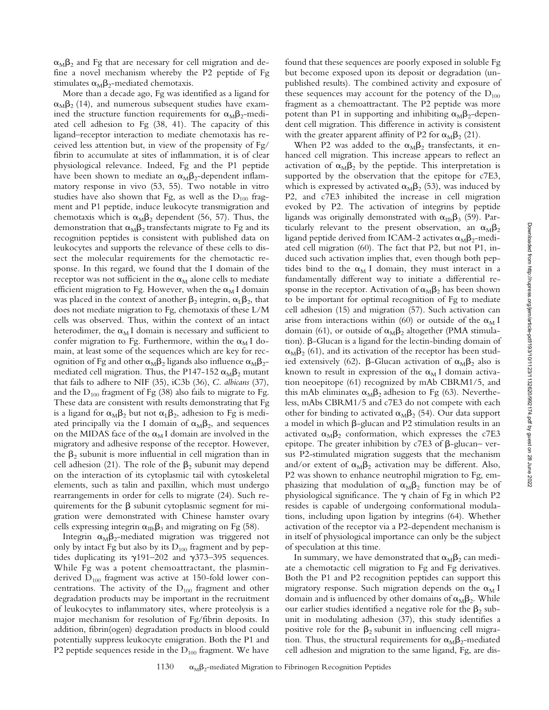$\alpha_{\text{M}}\beta_2$  and Fg that are necessary for cell migration and define a novel mechanism whereby the P2 peptide of Fg stimulates  $\alpha_{\text{M}}\beta_2$ -mediated chemotaxis.

More than a decade ago, Fg was identified as a ligand for  $\alpha_{\text{M}}\beta_2$  (14), and numerous subsequent studies have examined the structure function requirements for  $\alpha_{\text{M}}\beta_{2}$ -mediated cell adhesion to Fg (38, 41). The capacity of this ligand–receptor interaction to mediate chemotaxis has received less attention but, in view of the propensity of Fg/ fibrin to accumulate at sites of inflammation, it is of clear physiological relevance. Indeed, Fg and the P1 peptide have been shown to mediate an  $\alpha_{\text{M}}\beta_2$ -dependent inflammatory response in vivo (53, 55). Two notable in vitro studies have also shown that Fg, as well as the  $D_{100}$  fragment and P1 peptide, induce leukocyte transmigration and chemotaxis which is  $\alpha_{\text{M}}\beta_2$  dependent (56, 57). Thus, the demonstration that  $\alpha_M\beta_2$  transfectants migrate to Fg and its recognition peptides is consistent with published data on leukocytes and supports the relevance of these cells to dissect the molecular requirements for the chemotactic response. In this regard, we found that the I domain of the receptor was not sufficient in the  $\alpha_M$  alone cells to mediate efficient migration to Fg. However, when the  $\alpha_M I$  domain was placed in the context of another  $\beta_2$  integrin,  $\alpha_{\text{L}}\beta_2$ , that does not mediate migration to Fg, chemotaxis of these L/M cells was observed. Thus, within the context of an intact heterodimer, the  $\alpha_M$  I domain is necessary and sufficient to confer migration to Fg. Furthermore, within the  $\alpha_M$  I domain, at least some of the sequences which are key for recognition of Fg and other  $\alpha_{\text{M}}\beta_2$  ligands also influence  $\alpha_{\text{M}}\beta_2$ mediated cell migration. Thus, the P147-152  $\alpha_M\beta_2$  mutant that fails to adhere to NIF (35), iC3b (36), *C. albicans* (37), and the  $D_{100}$  fragment of Fg (38) also fails to migrate to Fg. These data are consistent with results demonstrating that Fg is a ligand for  $\alpha_{\text{M}}\beta_2$  but not  $\alpha_{\text{L}}\beta_2$ , adhesion to Fg is mediated principally via the I domain of  $\alpha_M\beta_2$ , and sequences on the MIDAS face of the  $\alpha_M$ I domain are involved in the migratory and adhesive response of the receptor. However, the  $\beta_2$  subunit is more influential in cell migration than in cell adhesion (21). The role of the  $\beta_2$  subunit may depend on the interaction of its cytoplasmic tail with cytoskeletal elements, such as talin and paxillin, which must undergo rearrangements in order for cells to migrate (24). Such requirements for the  $\beta$  subunit cytoplasmic segment for migration were demonstrated with Chinese hamster ovary cells expressing integrin  $\alpha_{\text{IIb}}\beta_3$  and migrating on Fg (58).

Integrin  $\alpha_M\beta_2$ -mediated migration was triggered not only by intact Fg but also by its  $D_{100}$  fragment and by peptides duplicating its  $\gamma$ 191–202 and  $\gamma$ 373–395 sequences. While Fg was a potent chemoattractant, the plasminderived  $D_{100}$  fragment was active at 150-fold lower concentrations. The activity of the  $D_{100}$  fragment and other degradation products may be important in the recruitment of leukocytes to inflammatory sites, where proteolysis is a major mechanism for resolution of Fg/fibrin deposits. In addition, fibrin(ogen) degradation products in blood could potentially suppress leukocyte emigration. Both the P1 and P2 peptide sequences reside in the  $D_{100}$  fragment. We have

found that these sequences are poorly exposed in soluble Fg but become exposed upon its deposit or degradation (unpublished results). The combined activity and exposure of these sequences may account for the potency of the  $D_{100}$ fragment as a chemoattractant. The P2 peptide was more potent than P1 in supporting and inhibiting  $\alpha_{\text{M}}\beta_{2}$ -dependent cell migration. This difference in activity is consistent with the greater apparent affinity of P2 for  $\alpha_{\text{M}}\beta_2$  (21).

When P2 was added to the  $\alpha_{\text{M}}\beta_2$  transfectants, it enhanced cell migration. This increase appears to reflect an activation of  $\alpha_M\beta_2$  by the peptide. This interpretation is supported by the observation that the epitope for c7E3, which is expressed by activated  $\alpha_{\text{M}}\beta_2$  (53), was induced by P2, and c7E3 inhibited the increase in cell migration evoked by P2. The activation of integrins by peptide ligands was originally demonstrated with  $\alpha_{\text{IIb}}\beta_3$  (59). Particularly relevant to the present observation, an  $\alpha_{\text{M}}\beta_2$ ligand peptide derived from ICAM-2 activates  $\alpha_{\text{M}}\beta_{2}$ -mediated cell migration (60). The fact that P2, but not P1, induced such activation implies that, even though both peptides bind to the  $\alpha_M$  I domain, they must interact in a fundamentally different way to initiate a differential response in the receptor. Activation of  $\alpha_M\beta_2$  has been shown to be important for optimal recognition of Fg to mediate cell adhesion (15) and migration (57). Such activation can arise from interactions within (60) or outside of the  $\alpha_M$  I domain (61), or outside of  $\alpha_{M}\beta_{2}$  altogether (PMA stimulation).  $\beta$ -Glucan is a ligand for the lectin-binding domain of  $\alpha_{\rm M}\beta_2$  (61), and its activation of the receptor has been studied extensively (62).  $\beta$ -Glucan activation of  $\alpha_{\text{M}}\beta_2$  also is known to result in expression of the  $\alpha_M$  I domain activation neoepitope (61) recognized by mAb CBRM1/5, and this mAb eliminates  $\alpha_M \beta_2$  adhesion to Fg (63). Nevertheless, mAbs CBRM1/5 and c7E3 do not compete with each other for binding to activated  $\alpha_M\beta_2$  (54). Our data support a model in which  $\beta$ -glucan and P2 stimulation results in an activated  $\alpha_M\beta_2$  conformation, which expresses the c7E3 epitope. The greater inhibition by  $c7E3$  of  $\beta$ -glucan– versus P2-stimulated migration suggests that the mechanism and/or extent of  $\alpha_{\text{M}}\beta_2$  activation may be different. Also, P2 was shown to enhance neutrophil migration to Fg, emphasizing that modulation of  $\alpha_{M}\beta_{2}$  function may be of physiological significance. The  $\gamma$  chain of Fg in which P2 resides is capable of undergoing conformational modulations, including upon ligation by integrins (64). Whether activation of the receptor via a P2-dependent mechanism is in itself of physiological importance can only be the subject of speculation at this time.

In summary, we have demonstrated that  $\alpha_{\text{M}}\beta_2$  can mediate a chemotactic cell migration to Fg and Fg derivatives. Both the P1 and P2 recognition peptides can support this migratory response. Such migration depends on the  $\alpha_M$  I domain and is influenced by other domains of  $\alpha_M\beta_2$ . While our earlier studies identified a negative role for the  $\beta_2$  subunit in modulating adhesion (37), this study identifies a positive role for the  $\beta_2$  subunit in influencing cell migration. Thus, the structural requirements for  $\alpha_M\beta_2$ -mediated cell adhesion and migration to the same ligand, Fg, are dis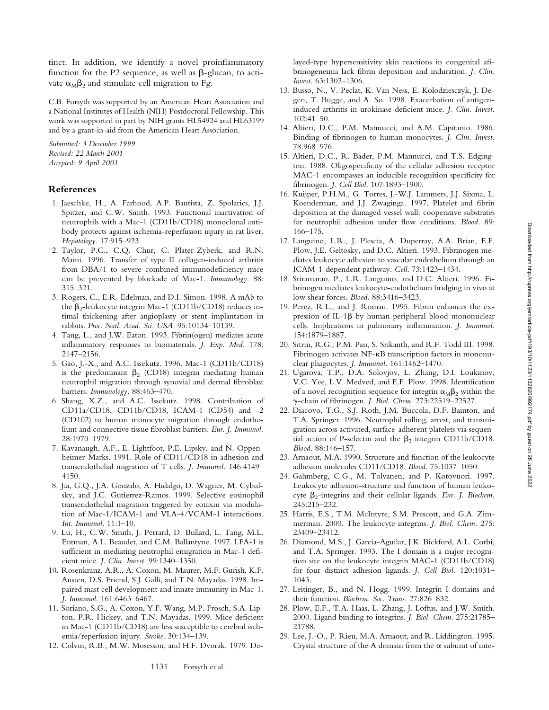tinct. In addition, we identify a novel proinflammatory function for the P2 sequence, as well as  $\beta$ -glucan, to activate  $\alpha_M \beta_2$  and stimulate cell migration to Fg.

C.B. Forsyth was supported by an American Heart Association and a National Institutes of Health (NIH) Postdoctoral Fellowship. This work was supported in part by NIH grants HL54924 and HL63199 and by a grant-in-aid from the American Heart Association.

*Submitted: 3 December 1999 Revised: 22 March 2001 Accepted: 9 April 2001*

## **References**

- 1. Jaeschke, H., A. Farhood, A.P. Bautista, Z. Spolarics, J.J. Spitzer, and C.W. Smith. 1993. Functional inactivation of neutrophils with a Mac-1 (CD11b/CD18) monoclonal antibody protects against ischemia-reperfusion injury in rat liver. *Hepatology.* 17:915–923.
- 2. Taylor, P.C., C.Q. Chur, C. Plater-Zyberk, and R.N. Maini. 1996. Transfer of type II collagen-induced arthritis from DBA/1 to severe combined immunodeficiency mice can be prevented by blockade of Mac-1. *Immunology*. 88: 315–321.
- 3. Rogers, C., E.R. Edelman, and D.I. Simon. 1998. A mAb to the  $\beta_2$ -leukocyte integrin Mac-1 (CD11b/CD18) reduces intimal thickening after angioplasty or stent implantation in rabbits. *Proc. Natl. Acad. Sci. USA.* 95:10134–10139.
- 4. Tang, L., and J.W. Eaton. 1993. Fibrin(ogen) mediates acute inflammatory responses to biomaterials. *J. Exp. Med.* 178: 2147–2156.
- 5. Gao, J.-X., and A.C. Issekutz. 1996. Mac-1 (CD11b/CD18) is the predominant  $\beta_2$  (CD18) integrin mediating human neutrophil migration through synovial and dermal fibroblast barriers. *Immunology.* 88:463–470.
- 6. Shang, X.Z., and A.C. Issekutz. 1998. Contribution of CD11a/CD18, CD11b/CD18, ICAM-1 (CD54) and -2 (CD102) to human monocyte migration through endothelium and connective tissue fibroblast barriers. *Eur. J. Immunol.* 28:1970–1979.
- 7. Kavanaugh, A.F., E. Lightfoot, P.E. Lipsky, and N. Oppenheimer-Marks. 1991. Role of CD11/CD18 in adhesion and transendothelial migration of T cells. *J. Immunol.* 146:4149– 4150.
- 8. Jia, G.Q., J.A. Gonzalo, A. Hidalgo, D. Wagner, M. Cybulsky, and J.C. Gutierrez-Ramos. 1999. Selective eosinophil transendothelial migration triggered by eotaxin via modulation of Mac-1/ICAM-1 and VLA-4/VCAM-1 interactions. *Int. Immunol.* 11:1–10.
- 9. Lu, H., C.W. Smith, J. Perrard, D. Bullard, L. Tang, M.L. Entman, A.L. Beaudet, and C.M. Ballantyne. 1997. LFA-1 is sufficient in mediating neutrophil emigration in Mac-1 deficient mice. *J. Clin. Invest.* 99:1340–1350.
- 10. Rosenkranz, A.R., A. Coxon, M. Maurer, M.F. Gurish, K.F. Austen, D.S. Friend, S.J. Galli, and T.N. Mayadas. 1998. Impaired mast cell development and innate immunity in Mac-1. *J. Immunol.* 161:6463–6467.
- 11. Soriano, S.G., A. Coxon, Y.F. Wang, M.P. Frosch, S.A. Lipton, P.R. Hickey, and T.N. Mayadas. 1999. Mice deficient in Mac-1 (CD11b/CD18) are less susceptible to cerebral ischemia/reperfusion injury. *Stroke.* 30:134–139.
- 12. Colvin, R.B., M.W. Mosesson, and H.F. Dvorak. 1979. De-

layed-type hypersensitivity skin reactions in congenital afibrinogenemia lack fibrin deposition and induration. *J. Clin. Invest.* 63:1302–1306.

- 13. Busso, N., V. Peclat, K. Van Ness, E. Kolodziesczyk, J. Degen, T. Bugge, and A. So. 1998. Exacerbation of antigeninduced arthritis in urokinase-deficient mice. *J. Clin. Invest.* 102:41–50.
- 14. Altieri, D.C., P.M. Mannucci, and A.M. Capitanio. 1986. Binding of fibrinogen to human monocytes. *J. Clin. Invest.* 78:968–976.
- 15. Altieri, D.C., R. Bader, P.M. Mannucci, and T.S. Edgington. 1988. Oligospecificity of the cellular adhesion receptor MAC-1 encompasses an inducible recognition specificity for fibrinogen. *J. Cell Biol.* 107:1893–1900.
- 16. Kuijper, P.H.M., G. Torres, J.-W.J. Lammers, J.J. Sixma, L. Koenderman, and J.J. Zwaginga. 1997. Platelet and fibrin deposition at the damaged vessel wall: cooperative substrates for neutrophil adhesion under flow conditions. *Blood.* 89: 166–175.
- 17. Languino, L.R., J. Plescia, A. Duperray, A.A. Brian, E.F. Plow, J.E. Geltosky, and D.C. Altieri. 1993. Fibrinogen mediates leukocyte adhesion to vascular endothelium through an ICAM-1-dependent pathway. *Cell*. 73:1423–1434.
- 18. Sriramarao, P., L.R. Languino, and D.C. Altieri. 1996. Fibrinogen mediates leukocyte-endothelium bridging in vivo at low shear forces. *Blood.* 88:3416–3423.
- 19. Perez, R.L., and J. Roman. 1995. Fibrin enhances the expression of IL-1 $\beta$  by human peripheral blood mononuclear cells. Implications in pulmonary inflammation. *J. Immunol.* 154:1879–1887.
- 20. Sitrin, R.G., P.M. Pan, S. Srikanth, and R.F. Todd III. 1998. Fibrinogen activates NF-kB transcription factors in mononuclear phagocytes. *J. Immunol.* 161:1462–1470.
- 21. Ugarova, T.P., D.A. Solovjov, L. Zhang, D.I. Loukinov, V.C. Yee, L.V. Medved, and E.F. Plow. 1998. Identification of a novel recognition sequence for integrin  $\alpha_{\text{M}}\beta_2$  within the g-chain of fibrinogen. *J. Biol. Chem.* 273:22519–22527.
- 22. Diacovo, T.G., S.J. Roth, J.M. Buccola, D.F. Bainton, and T.A. Springer. 1996. Neutrophil rolling, arrest, and transmigration across activated, surface-adherent platelets via sequential action of P-selectin and the  $\beta_2$  integrin CD11b/CD18. *Blood.* 88:146–157.
- 23. Arnaout, M.A. 1990. Structure and function of the leukocyte adhesion molecules CD11/CD18. *Blood.* 75:1037–1050.
- 24. Gahmberg, C.G., M. Tolvanen, and P. Kotovuori. 1997. Leukocyte adhesion-structure and function of human leukocyte b2-integrins and their cellular ligands. *Eur. J. Biochem.* 245:215–232.
- 25. Harris, E.S., T.M. McIntyre, S.M. Prescott, and G.A. Zimmerman. 2000. The leukocyte integrins. *J. Biol. Chem.* 275: 23409–23412.
- 26. Diamond, M.S., J. Garcia-Aguilar, J.K. Bickford, A.L. Corbí, and T.A. Springer. 1993. The I domain is a major recognition site on the leukocyte integrin MAC-1 (CD11b/CD18) for four distinct adhesion ligands. *J. Cell Biol.* 120:1031– 1043.
- 27. Leitinger, B., and N. Hogg. 1999. Integrin I domains and their function. *Biochem. Soc. Trans.* 27:826–832.
- 28. Plow, E.F., T.A. Haas, L. Zhang, J. Loftus, and J.W. Smith. 2000. Ligand binding to integrins. *J. Biol. Chem.* 275:21785– 21788.
- 29. Lee, J.-O., P. Rieu, M.A. Arnaout, and R. Liddington. 1995. Crystal structure of the A domain from the  $\alpha$  subunit of inte-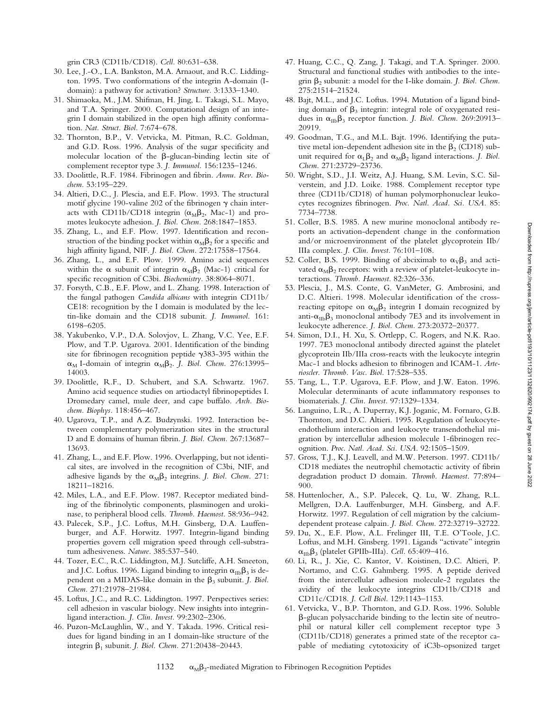Downloaded from http://rupress.org/jem/article-pdf/193/10/1123/1132620/992174.pdf by guest on 28 June 2022 Downloaded from http://rupress.org/jem/article-pdf/193/10/1123/1132620/992174.pdf by guest on 28 June 2022

grin CR3 (CD11b/CD18). *Cell.* 80:631–638.

- 30. Lee, J.-O., L.A. Bankston, M.A. Arnaout, and R.C. Liddington. 1995. Two conformations of the integrin A-domain (Idomain): a pathway for activation? *Structure.* 3:1333–1340.
- 31. Shimaoka, M., J.M. Shifman, H. Jing, L. Takagi, S.L. Mayo, and T.A. Springer. 2000. Computational design of an integrin I domain stabilized in the open high affinity conformation. *Nat. Struct. Biol.* 7:674–678.
- 32. Thornton, B.P., V. Vetvicka, M. Pitman, R.C. Goldman, and G.D. Ross. 1996. Analysis of the sugar specificity and molecular location of the  $\beta$ -glucan-binding lectin site of complement receptor type 3. *J. Immunol.* 156:1235–1246.
- 33. Doolittle, R.F. 1984. Fibrinogen and fibrin. *Annu. Rev. Biochem.* 53:195–229.
- 34. Altieri, D.C., J. Plescia, and E.F. Plow. 1993. The structural motif glycine 190-valine 202 of the fibrinogen  $\gamma$  chain interacts with CD11b/CD18 integrin  $(\alpha_M\beta_2, \text{Mac-1})$  and promotes leukocyte adhesion. *J. Biol. Chem.* 268:1847–1853.
- 35. Zhang, L., and E.F. Plow. 1997. Identification and reconstruction of the binding pocket within  $\alpha_M\beta_2$  for a specific and high affinity ligand, NIF. *J. Biol. Chem.* 272:17558–17564.
- 36. Zhang, L., and E.F. Plow. 1999. Amino acid sequences within the  $\alpha$  subunit of integrin  $\alpha_{\text{M}}\beta_2$  (Mac-1) critical for specific recognition of C3bi. *Biochemistry.* 38:8064–8071.
- 37. Forsyth, C.B., E.F. Plow, and L. Zhang. 1998. Interaction of the fungal pathogen *Candida albicans* with integrin CD11b/ CE18: recognition by the I domain is modulated by the lectin-like domain and the CD18 subunit. *J. Immunol.* 161: 6198–6205.
- 38. Yakubenko, V.P., D.A. Solovjov, L. Zhang, V.C. Yee, E.F. Plow, and T.P. Ugarova. 2001. Identification of the binding site for fibrinogen recognition peptide  $\gamma$ 383-395 within the  $\alpha_M$  I-domain of integrin  $\alpha_M\beta_2$ . *J. Biol. Chem.* 276:13995– 14003.
- 39. Doolittle, R.F., D. Schubert, and S.A. Schwartz. 1967. Amino acid sequence studies on artiodactyl fibrinopeptides I. Dromedary camel, mule deer, and cape buffalo. *Arch. Biochem. Biophys.* 118:456–467.
- 40. Ugarova, T.P., and A.Z. Budzynski. 1992. Interaction between complementary polymerization sites in the structural D and E domains of human fibrin. *J. Biol. Chem.* 267:13687– 13693.
- 41. Zhang, L., and E.F. Plow. 1996. Overlapping, but not identical sites, are involved in the recognition of C3bi, NIF, and adhesive ligands by the  $\alpha_M\beta_2$  integrins. *J. Biol. Chem.* 271: 18211–18216.
- 42. Miles, L.A., and E.F. Plow. 1987. Receptor mediated binding of the fibrinolytic components, plasminogen and urokinase, to peripheral blood cells. *Thromb. Haemost.* 58:936–942.
- 43. Palecek, S.P., J.C. Loftus, M.H. Ginsberg, D.A. Lauffenburger, and A.F. Horwitz. 1997. Integrin-ligand binding properties govern cell migration speed through cell-substratum adhesiveness. *Nature.* 385:537–540.
- 44. Tozer, E.C., R.C. Liddington, M.J. Sutcliffe, A.H. Smeeton, and J.C. Loftus. 1996. Ligand binding to integrin  $\alpha_{\text{IIb}}\beta_3$  is dependent on a MIDAS-like domain in the  $\beta_3$  subunit. *J. Biol. Chem.* 271:21978–21984.
- 45. Loftus, J.C., and R.C. Liddington. 1997. Perspectives series: cell adhesion in vascular biology. New insights into integrinligand interaction. *J. Clin. Invest.* 99:2302–2306.
- 46. Puzon-McLaughlin, W., and Y. Takada. 1996. Critical residues for ligand binding in an I domain-like structure of the integrin b1 subunit. *J. Biol. Chem.* 271:20438–20443.
- 47. Huang, C.C., Q. Zang, J. Takagi, and T.A. Springer. 2000. Structural and functional studies with antibodies to the integrin  $\beta_2$  subunit: a model for the I-like domain. *J. Biol. Chem.* 275:21514–21524.
- 48. Bajt, M.L., and J.C. Loftus. 1994. Mutation of a ligand binding domain of  $\beta_3$  integrin: integral role of oxygenated residues in  $\alpha_{\text{IIb}}\beta_3$  receptor function. *J. Biol. Chem.* 269:20913– 20919.
- 49. Goodman, T.G., and M.L. Bajt. 1996. Identifying the putative metal ion-dependent adhesion site in the  $\beta_2$  (CD18) subunit required for  $\alpha_L\beta_2$  and  $\alpha_M\beta_2$  ligand interactions. *J. Biol. Chem.* 271:23729–23736.
- 50. Wright, S.D., J.I. Weitz, A.J. Huang, S.M. Levin, S.C. Silverstein, and J.D. Loike. 1988. Complement receptor type three (CD11b/CD18) of human polymorphonuclear leukocytes recognizes fibrinogen. *Proc. Natl. Acad. Sci. USA.* 85: 7734–7738.
- 51. Coller, B.S. 1985. A new murine monoclonal antibody reports an activation-dependent change in the conformation and/or microenvironment of the platelet glycoprotein IIb/ IIIa complex. *J. Clin. Invest.* 76:101–108.
- 52. Coller, B.S. 1999. Binding of abciximab to  $\alpha_{V}\beta_{3}$  and activated  $\alpha_{\text{M}}\beta_2$  receptors: with a review of platelet-leukocyte interactions. *Thromb. Haemost.* 82:326–336.
- 53. Plescia, J., M.S. Conte, G. VanMeter, G. Ambrosini, and D.C. Altieri. 1998. Molecular identification of the crossreacting epitope on  $\alpha_M\beta_2$  integrin I domain recognized by anti- $\alpha_{\text{ID}}\beta_3$  monoclonal antibody 7E3 and its involvement in leukocyte adherence. *J. Biol. Chem.* 273:20372–20377.
- 54. Simon, D.I., H. Xu, S. Ortlepp, C. Rogers, and N.K. Rao. 1997. 7E3 monoclonal antibody directed against the platelet glycoprotein IIb/IIIa cross-reacts with the leukocyte integrin Mac-1 and blocks adhesion to fibrinogen and ICAM-1. *Arterioscler. Thromb. Vasc. Biol.* 17:528–535.
- 55. Tang, L., T.P. Ugarova, E.F. Plow, and J.W. Eaton. 1996. Molecular determinants of acute inflammatory responses to biomaterials. *J. Clin. Invest.* 97:1329–1334.
- 56. Languino, L.R., A. Duperray, K.J. Joganic, M. Fornaro, G.B. Thornton, and D.C. Altieri. 1995. Regulation of leukocyteendothelium interaction and leukocyte transendothelial migration by intercellular adhesion molecule 1-fibrinogen recognition. *Proc. Natl. Acad. Sci. USA*. 92:1505–1509.
- 57. Gross, T.J., K.J. Leavell, and M.W. Peterson. 1997. CD11b/ CD18 mediates the neutrophil chemotactic activity of fibrin degradation product D domain. *Thromb. Haemost.* 77:894– 900.
- 58. Huttenlocher, A., S.P. Palecek, Q. Lu, W. Zhang, R.L. Mellgren, D.A. Lauffenburger, M.H. Ginsberg, and A.F. Horwitz. 1997. Regulation of cell migration by the calciumdependent protease calpain. *J. Biol. Chem.* 272:32719–32722.
- 59. Du, X., E.F. Plow, A.L. Frelinger III, T.E. O'Toole, J.C. Loftus, and M.H. Ginsberg. 1991. Ligands "activate" integrin  $\alpha_{IIb}\beta_3$  (platelet GPIIb-IIIa). *Cell.* 65:409-416.
- 60. Li, R., J. Xie, C. Kantor, V. Koistinen, D.C. Altieri, P. Nortamo, and C.G. Gahmberg. 1995. A peptide derived from the intercellular adhesion molecule-2 regulates the avidity of the leukocyte integrins CD11b/CD18 and CD11c/CD18. *J. Cell Biol.* 129:1143–1153.
- 61. Vetvicka, V., B.P. Thornton, and G.D. Ross. 1996. Soluble b-glucan polysaccharide binding to the lectin site of neutrophil or natural killer cell complement receptor type 3 (CD11b/CD18) generates a primed state of the receptor capable of mediating cytotoxicity of iC3b-opsonized target